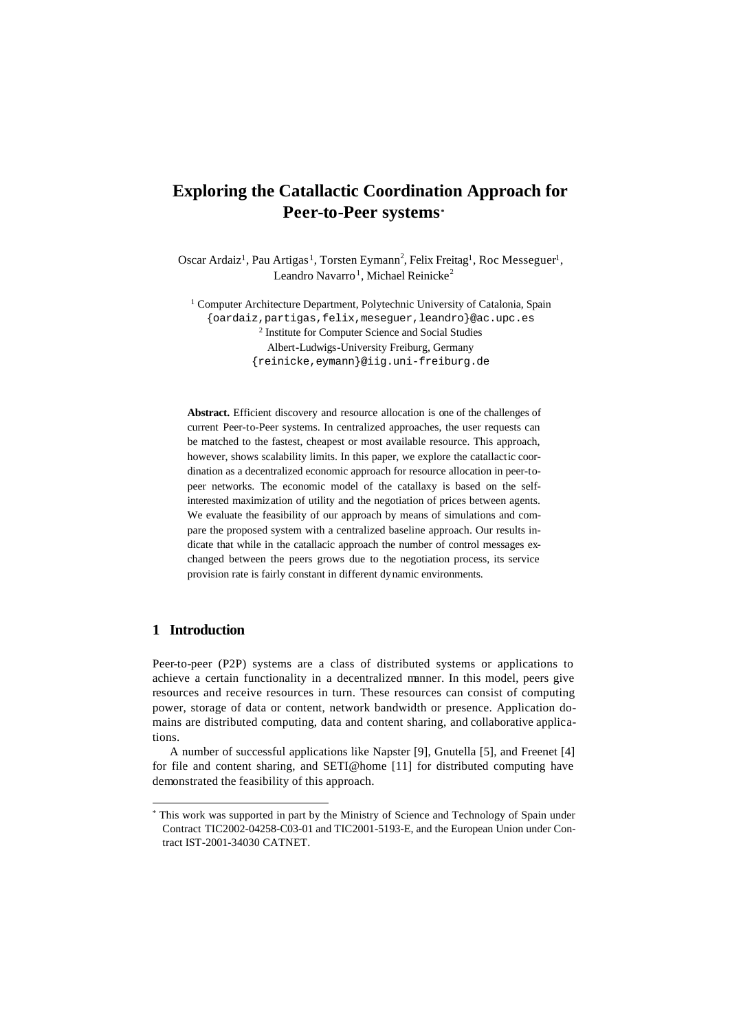# **Exploring the Catallactic Coordination Approach for Peer-to-Peer systems \***

Oscar Ardaiz<sup>1</sup>, Pau Artigas<sup>1</sup>, Torsten Eymann<sup>2</sup>, Felix Freitag<sup>1</sup>, Roc Messeguer<sup>1</sup>, Leandro Navarro<sup>1</sup>, Michael Reinicke<sup>2</sup>

<sup>1</sup> Computer Architecture Department, Polytechnic University of Catalonia, Spain {oardaiz,partigas,felix,meseguer,leandro}@ac.upc.es 2 Institute for Computer Science and Social Studies Albert-Ludwigs-University Freiburg, Germany {reinicke,eymann}@iig.uni-freiburg.de

**Abstract.** Efficient discovery and resource allocation is one of the challenges of current Peer-to-Peer systems. In centralized approaches, the user requests can be matched to the fastest, cheapest or most available resource. This approach, however, shows scalability limits. In this paper, we explore the catallactic coordination as a decentralized economic approach for resource allocation in peer-topeer networks. The economic model of the catallaxy is based on the selfinterested maximization of utility and the negotiation of prices between agents. We evaluate the feasibility of our approach by means of simulations and compare the proposed system with a centralized baseline approach. Our results indicate that while in the catallacic approach the number of control messages exchanged between the peers grows due to the negotiation process, its service provision rate is fairly constant in different dynamic environments.

## **1 Introduction**

l

Peer-to-peer (P2P) systems are a class of distributed systems or applications to achieve a certain functionality in a decentralized manner. In this model, peers give resources and receive resources in turn. These resources can consist of computing power, storage of data or content, network bandwidth or presence. Application domains are distributed computing, data and content sharing, and collaborative applications.

A number of successful applications like Napster [9], Gnutella [5], and Freenet [4] for file and content sharing, and SETI@home [11] for distributed computing have demonstrated the feasibility of this approach.

<sup>\*</sup> This work was supported in part by the Ministry of Science and Technology of Spain under Contract TIC2002-04258-C03-01 and TIC2001-5193-E, and the European Union under Contract IST-2001-34030 CATNET.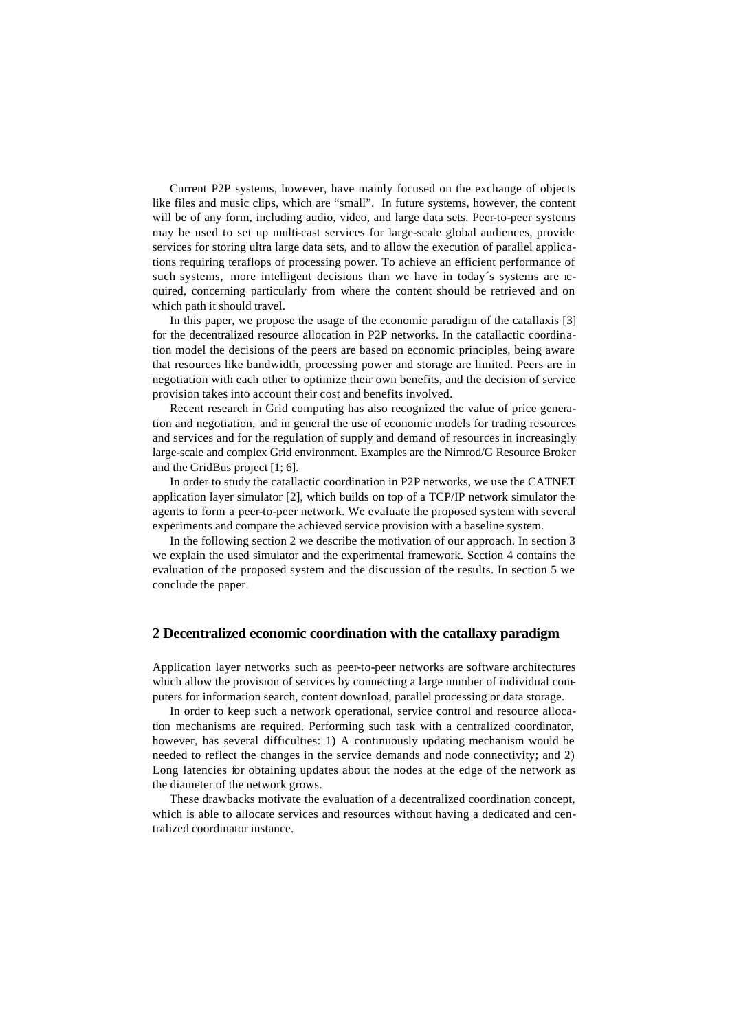Current P2P systems, however, have mainly focused on the exchange of objects like files and music clips, which are "small". In future systems, however, the content will be of any form, including audio, video, and large data sets. Peer-to-peer systems may be used to set up multi-cast services for large-scale global audiences, provide services for storing ultra large data sets, and to allow the execution of parallel applications requiring teraflops of processing power. To achieve an efficient performance of such systems, more intelligent decisions than we have in today's systems are required, concerning particularly from where the content should be retrieved and on which path it should travel.

In this paper, we propose the usage of the economic paradigm of the catallaxis [3] for the decentralized resource allocation in P2P networks. In the catallactic coordination model the decisions of the peers are based on economic principles, being aware that resources like bandwidth, processing power and storage are limited. Peers are in negotiation with each other to optimize their own benefits, and the decision of service provision takes into account their cost and benefits involved.

Recent research in Grid computing has also recognized the value of price generation and negotiation, and in general the use of economic models for trading resources and services and for the regulation of supply and demand of resources in increasingly large-scale and complex Grid environment. Examples are the Nimrod/G Resource Broker and the GridBus project [1; 6].

In order to study the catallactic coordination in P2P networks, we use the CATNET application layer simulator [2], which builds on top of a TCP/IP network simulator the agents to form a peer-to-peer network. We evaluate the proposed system with several experiments and compare the achieved service provision with a baseline system.

In the following section 2 we describe the motivation of our approach. In section 3 we explain the used simulator and the experimental framework. Section 4 contains the evaluation of the proposed system and the discussion of the results. In section 5 we conclude the paper.

## **2 Decentralized economic coordination with the catallaxy paradigm**

Application layer networks such as peer-to-peer networks are software architectures which allow the provision of services by connecting a large number of individual computers for information search, content download, parallel processing or data storage.

In order to keep such a network operational, service control and resource allocation mechanisms are required. Performing such task with a centralized coordinator, however, has several difficulties: 1) A continuously updating mechanism would be needed to reflect the changes in the service demands and node connectivity; and 2) Long latencies for obtaining updates about the nodes at the edge of the network as the diameter of the network grows.

These drawbacks motivate the evaluation of a decentralized coordination concept, which is able to allocate services and resources without having a dedicated and centralized coordinator instance.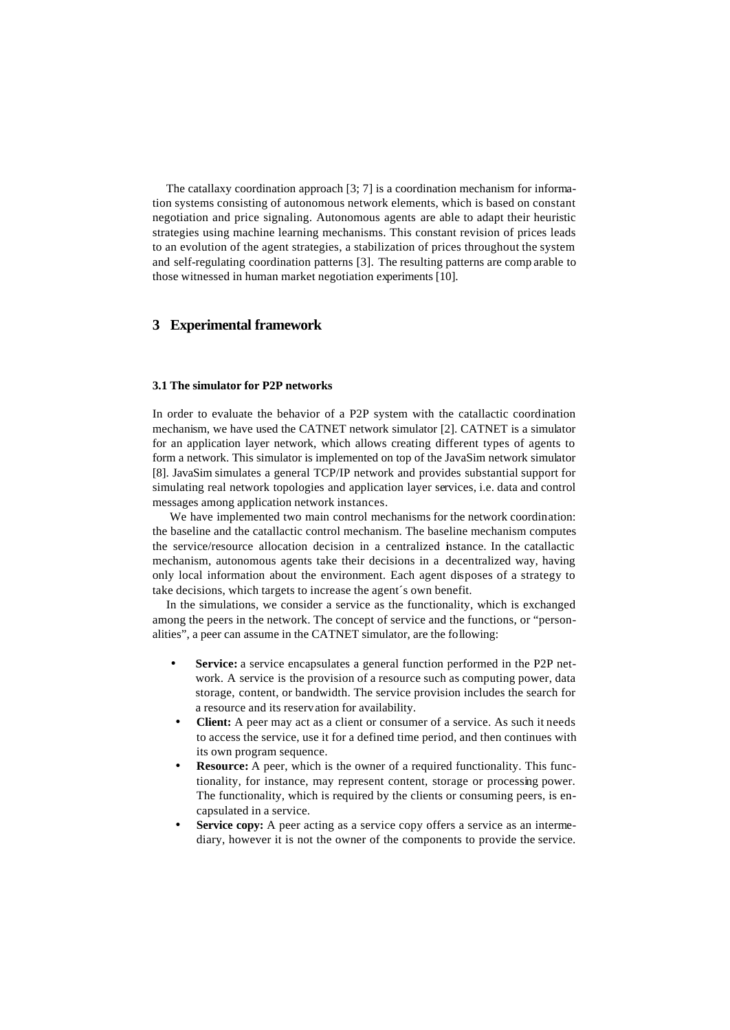The catallaxy coordination approach [3; 7] is a coordination mechanism for information systems consisting of autonomous network elements, which is based on constant negotiation and price signaling. Autonomous agents are able to adapt their heuristic strategies using machine learning mechanisms. This constant revision of prices leads to an evolution of the agent strategies, a stabilization of prices throughout the system and self-regulating coordination patterns [3]. The resulting patterns are comp arable to those witnessed in human market negotiation experiments [10].

### **3 Experimental framework**

## **3.1 The simulator for P2P networks**

In order to evaluate the behavior of a P2P system with the catallactic coordination mechanism, we have used the CATNET network simulator [2]. CATNET is a simulator for an application layer network, which allows creating different types of agents to form a network. This simulator is implemented on top of the JavaSim network simulator [8]. JavaSim simulates a general TCP/IP network and provides substantial support for simulating real network topologies and application layer services, i.e. data and control messages among application network instances.

We have implemented two main control mechanisms for the network coordination: the baseline and the catallactic control mechanism. The baseline mechanism computes the service/resource allocation decision in a centralized instance. In the catallactic mechanism, autonomous agents take their decisions in a decentralized way, having only local information about the environment. Each agent disposes of a strategy to take decisions, which targets to increase the agent´s own benefit.

In the simulations, we consider a service as the functionality, which is exchanged among the peers in the network. The concept of service and the functions, or "personalities", a peer can assume in the CATNET simulator, are the following:

- Service: a service encapsulates a general function performed in the P2P network. A service is the provision of a resource such as computing power, data storage, content, or bandwidth. The service provision includes the search for a resource and its reservation for availability.
- **Client:** A peer may act as a client or consumer of a service. As such it needs to access the service, use it for a defined time period, and then continues with its own program sequence.
- **Resource:** A peer, which is the owner of a required functionality. This functionality, for instance, may represent content, storage or processing power. The functionality, which is required by the clients or consuming peers, is encapsulated in a service.
- **Service copy:** A peer acting as a service copy offers a service as an intermediary, however it is not the owner of the components to provide the service.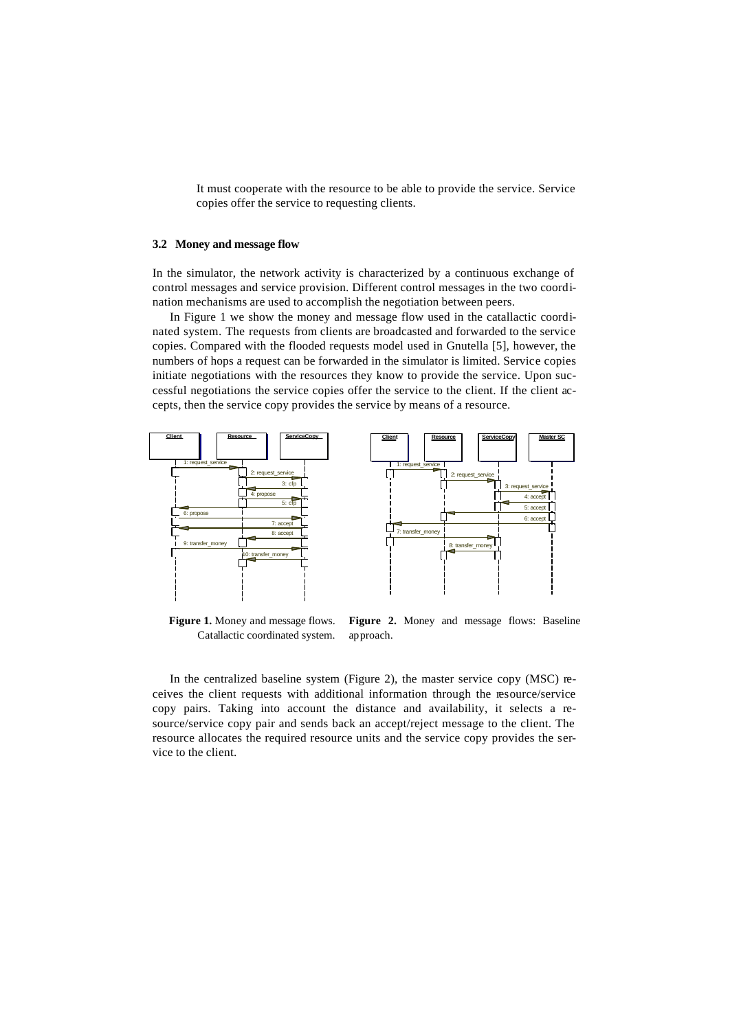It must cooperate with the resource to be able to provide the service. Service copies offer the service to requesting clients.

#### **3.2 Money and message flow**

In the simulator, the network activity is characterized by a continuous exchange of control messages and service provision. Different control messages in the two coordination mechanisms are used to accomplish the negotiation between peers.

In Figure 1 we show the money and message flow used in the catallactic coordinated system. The requests from clients are broadcasted and forwarded to the service copies. Compared with the flooded requests model used in Gnutella [5], however, the numbers of hops a request can be forwarded in the simulator is limited. Service copies initiate negotiations with the resources they know to provide the service. Upon successful negotiations the service copies offer the service to the client. If the client accepts, then the service copy provides the service by means of a resource.



Figure 1. Money and message flows. Catallactic coordinated system. **Figure 2.** Money and message flows: Baseline approach.

In the centralized baseline system (Figure 2), the master service copy (MSC) receives the client requests with additional information through the resource/service copy pairs. Taking into account the distance and availability, it selects a resource/service copy pair and sends back an accept/reject message to the client. The resource allocates the required resource units and the service copy provides the service to the client.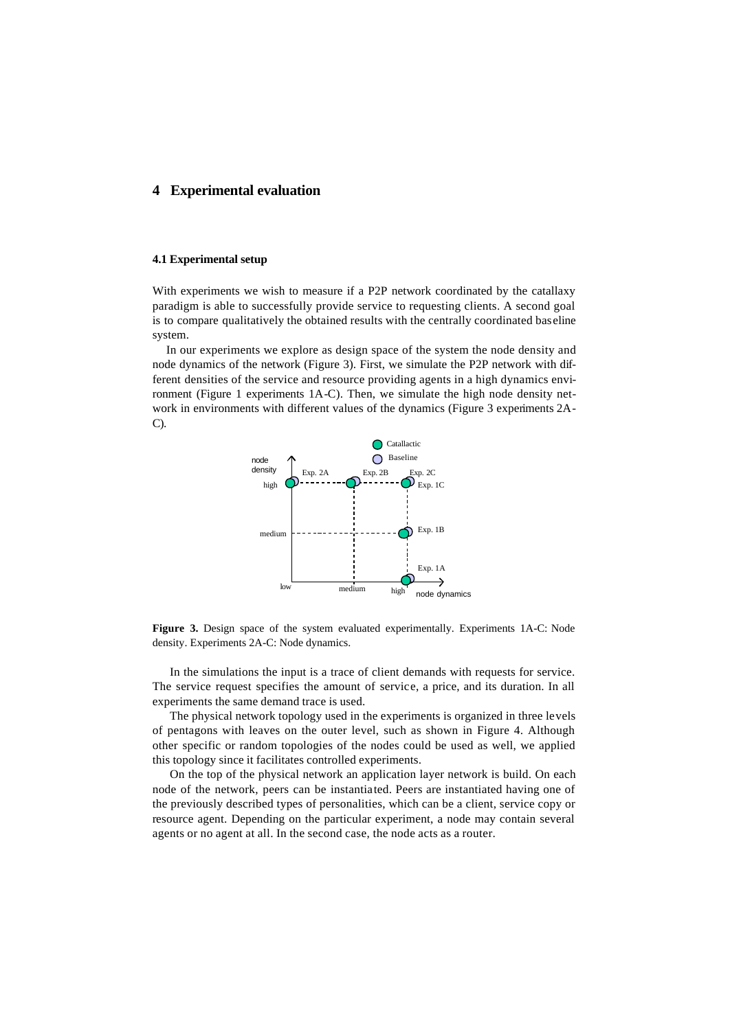## **4 Experimental evaluation**

#### **4.1 Experimental setup**

With experiments we wish to measure if a P2P network coordinated by the catallaxy paradigm is able to successfully provide service to requesting clients. A second goal is to compare qualitatively the obtained results with the centrally coordinated baseline system.

In our experiments we explore as design space of the system the node density and node dynamics of the network (Figure 3). First, we simulate the P2P network with different densities of the service and resource providing agents in a high dynamics environment (Figure 1 experiments 1A-C). Then, we simulate the high node density network in environments with different values of the dynamics (Figure 3 experiments 2A-C).



**Figure 3.** Design space of the system evaluated experimentally. Experiments 1A-C: Node density. Experiments 2A-C: Node dynamics.

In the simulations the input is a trace of client demands with requests for service. The service request specifies the amount of service, a price, and its duration. In all experiments the same demand trace is used.

The physical network topology used in the experiments is organized in three levels of pentagons with leaves on the outer level, such as shown in Figure 4. Although other specific or random topologies of the nodes could be used as well, we applied this topology since it facilitates controlled experiments.

On the top of the physical network an application layer network is build. On each node of the network, peers can be instantiated. Peers are instantiated having one of the previously described types of personalities, which can be a client, service copy or resource agent. Depending on the particular experiment, a node may contain several agents or no agent at all. In the second case, the node acts as a router.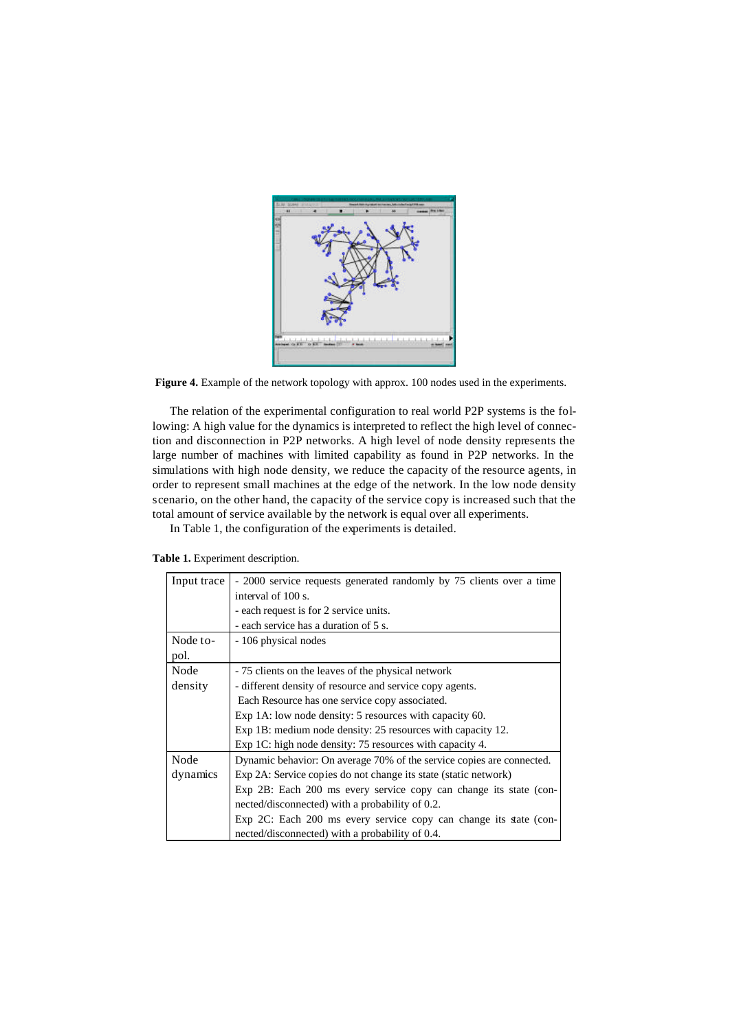

 **Figure 4.** Example of the network topology with approx. 100 nodes used in the experiments.

The relation of the experimental configuration to real world P2P systems is the following: A high value for the dynamics is interpreted to reflect the high level of connection and disconnection in P2P networks. A high level of node density represents the large number of machines with limited capability as found in P2P networks. In the simulations with high node density, we reduce the capacity of the resource agents, in order to represent small machines at the edge of the network. In the low node density scenario, on the other hand, the capacity of the service copy is increased such that the total amount of service available by the network is equal over all experiments.

In Table 1, the configuration of the experiments is detailed.

| Input trace | - 2000 service requests generated randomly by 75 clients over a time  |
|-------------|-----------------------------------------------------------------------|
|             | interval of 100 s.                                                    |
|             | - each request is for 2 service units.                                |
|             | - each service has a duration of 5 s.                                 |
| Node to-    | - 106 physical nodes                                                  |
| pol.        |                                                                       |
| Node        | - 75 clients on the leaves of the physical network                    |
| density     | - different density of resource and service copy agents.              |
|             | Each Resource has one service copy associated.                        |
|             | Exp 1A: low node density: 5 resources with capacity 60.               |
|             | Exp 1B: medium node density: 25 resources with capacity 12.           |
|             | Exp 1C: high node density: 75 resources with capacity 4.              |
| Node        | Dynamic behavior: On average 70% of the service copies are connected. |
| dynamics    | Exp 2A: Service copies do not change its state (static network)       |
|             | Exp 2B: Each 200 ms every service copy can change its state (con-     |
|             | nected/disconnected) with a probability of 0.2.                       |
|             | Exp 2C: Each 200 ms every service copy can change its state (con-     |
|             | nected/disconnected) with a probability of 0.4.                       |

**Table 1.** Experiment description.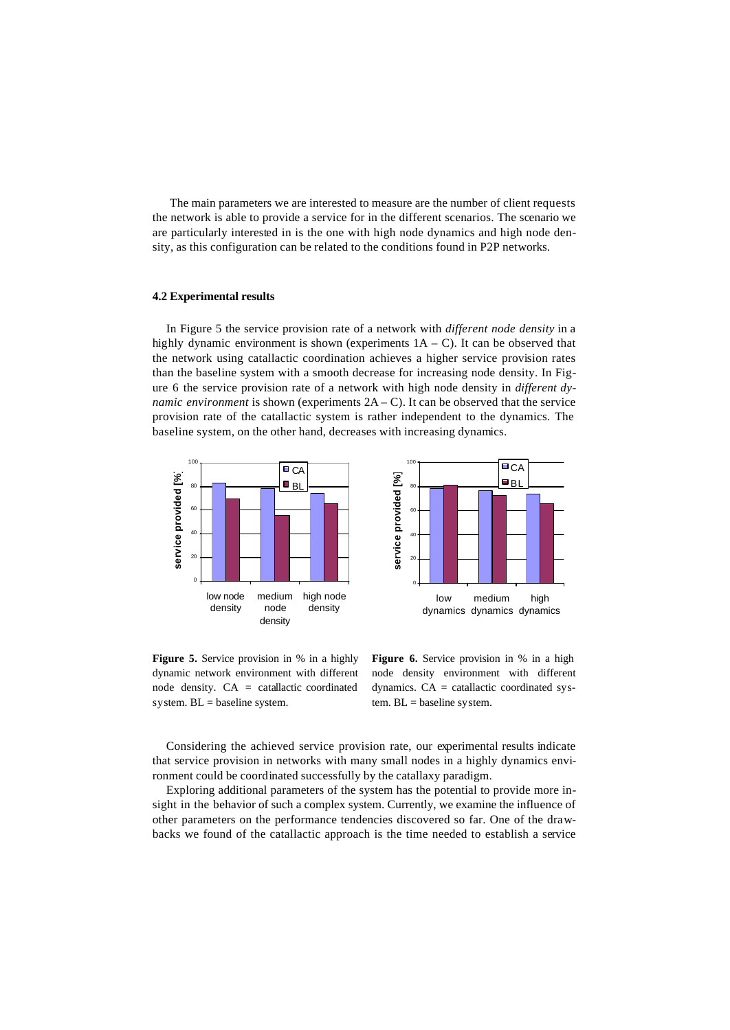The main parameters we are interested to measure are the number of client requests the network is able to provide a service for in the different scenarios. The scenario we are particularly interested in is the one with high node dynamics and high node density, as this configuration can be related to the conditions found in P2P networks.

#### **4.2 Experimental results**

In Figure 5 the service provision rate of a network with *different node density* in a highly dynamic environment is shown (experiments  $1A - C$ ). It can be observed that the network using catallactic coordination achieves a higher service provision rates than the baseline system with a smooth decrease for increasing node density. In Figure 6 the service provision rate of a network with high node density in *different dynamic environment* is shown (experiments  $2A - C$ ). It can be observed that the service provision rate of the catallactic system is rather independent to the dynamics. The baseline system, on the other hand, decreases with increasing dynamics.





**Figure 5.** Service provision in % in a highly dynamic network environment with different node density. CA = catallactic coordinated system.  $BL = baseline$  system.

**Figure 6.** Service provision in % in a high node density environment with different dynamics. CA = catallactic coordinated system.  $BL = baseline$  system.

Considering the achieved service provision rate, our experimental results indicate that service provision in networks with many small nodes in a highly dynamics environment could be coordinated successfully by the catallaxy paradigm.

Exploring additional parameters of the system has the potential to provide more insight in the behavior of such a complex system. Currently, we examine the influence of other parameters on the performance tendencies discovered so far. One of the drawbacks we found of the catallactic approach is the time needed to establish a service